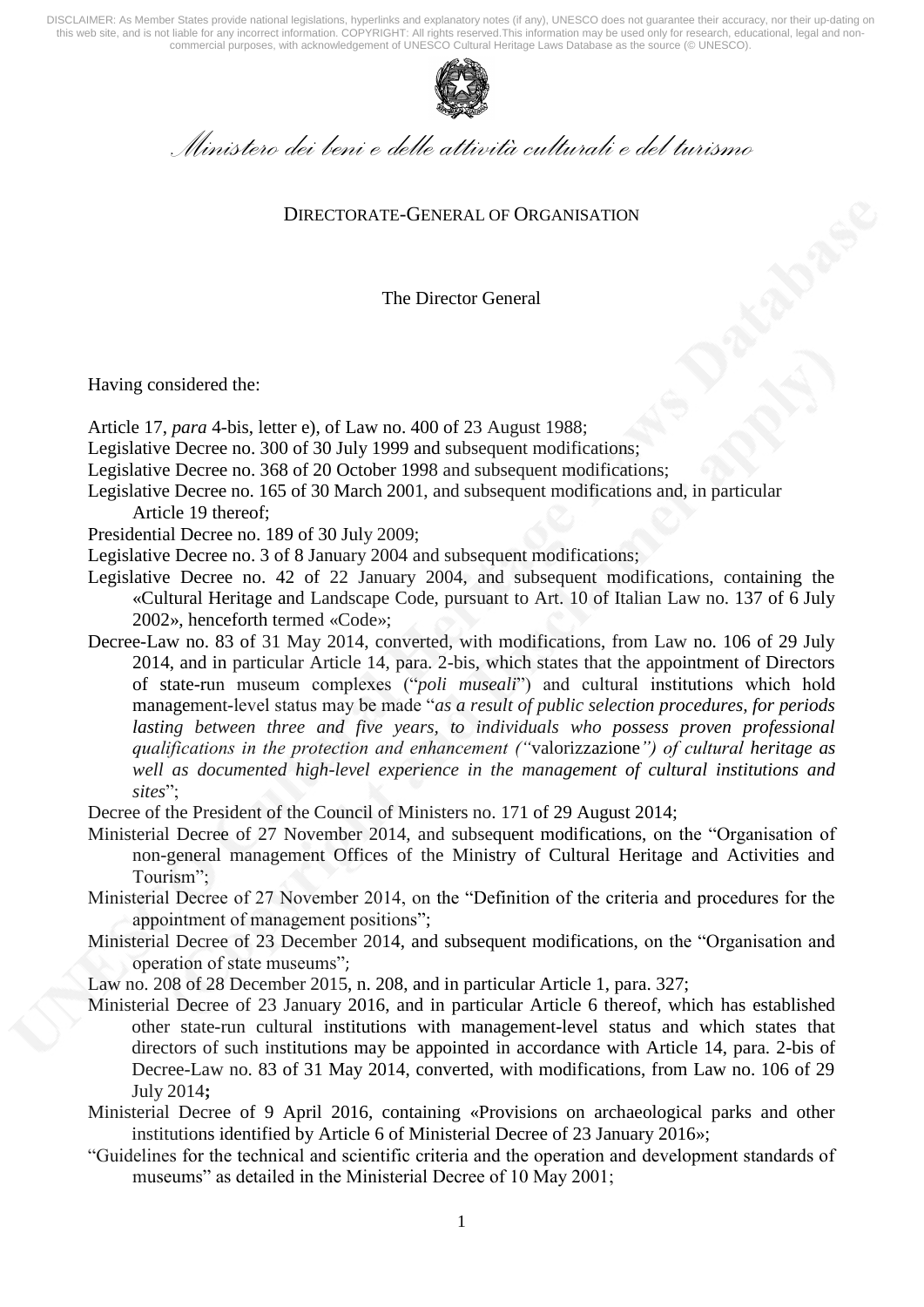

*Ministero dei beni e delle attività culturali e del turismo* 

### DIRECTORATE-GENERAL OF ORGANISATION

The Director General

Having considered the:

- Article 17, *para* 4-bis, letter e), of Law no. 400 of 23 August 1988;
- Legislative Decree no. 300 of 30 July 1999 and subsequent modifications;
- Legislative Decree no. 368 of 20 October 1998 and subsequent modifications;
- Legislative Decree no. 165 of 30 March 2001, and subsequent modifications and, in particular Article 19 thereof;
- Presidential Decree no. 189 of 30 July 2009;
- Legislative Decree no. 3 of 8 January 2004 and subsequent modifications;
- Legislative Decree no. 42 of 22 January 2004, and subsequent modifications, containing the «Cultural Heritage and Landscape Code, pursuant to Art. 10 of Italian Law no. 137 of 6 July 2002», henceforth termed «Code»;
- Decree-Law no. 83 of 31 May 2014, converted, with modifications, from Law no. 106 of 29 July 2014, and in particular Article 14, para. 2-bis, which states that the appointment of Directors of state-run museum complexes ("*poli museali*") and cultural institutions which hold management-level status may be made "*as a result of public selection procedures, for periods lasting between three and five years, to individuals who possess proven professional qualifications in the protection and enhancement ("*valorizzazione*") of cultural heritage as well as documented high-level experience in the management of cultural institutions and sites*";

Decree of the President of the Council of Ministers no. 171 of 29 August 2014;

- Ministerial Decree of 27 November 2014, and subsequent modifications, on the "Organisation of non-general management Offices of the Ministry of Cultural Heritage and Activities and Tourism";
- Ministerial Decree of 27 November 2014, on the "Definition of the criteria and procedures for the appointment of management positions";
- Ministerial Decree of 23 December 2014, and subsequent modifications, on the "Organisation and operation of state museums";
- Law no. 208 of 28 December 2015, n. 208, and in particular Article 1, para. 327;
- Ministerial Decree of 23 January 2016, and in particular Article 6 thereof, which has established other state-run cultural institutions with management-level status and which states that directors of such institutions may be appointed in accordance with Article 14, para. 2-bis of Decree-Law no. 83 of 31 May 2014, converted, with modifications, from Law no. 106 of 29 July 2014**;**
- Ministerial Decree of 9 April 2016, containing «Provisions on archaeological parks and other institutions identified by Article 6 of Ministerial Decree of 23 January 2016»;
- "Guidelines for the technical and scientific criteria and the operation and development standards of museums" as detailed in the Ministerial Decree of 10 May 2001;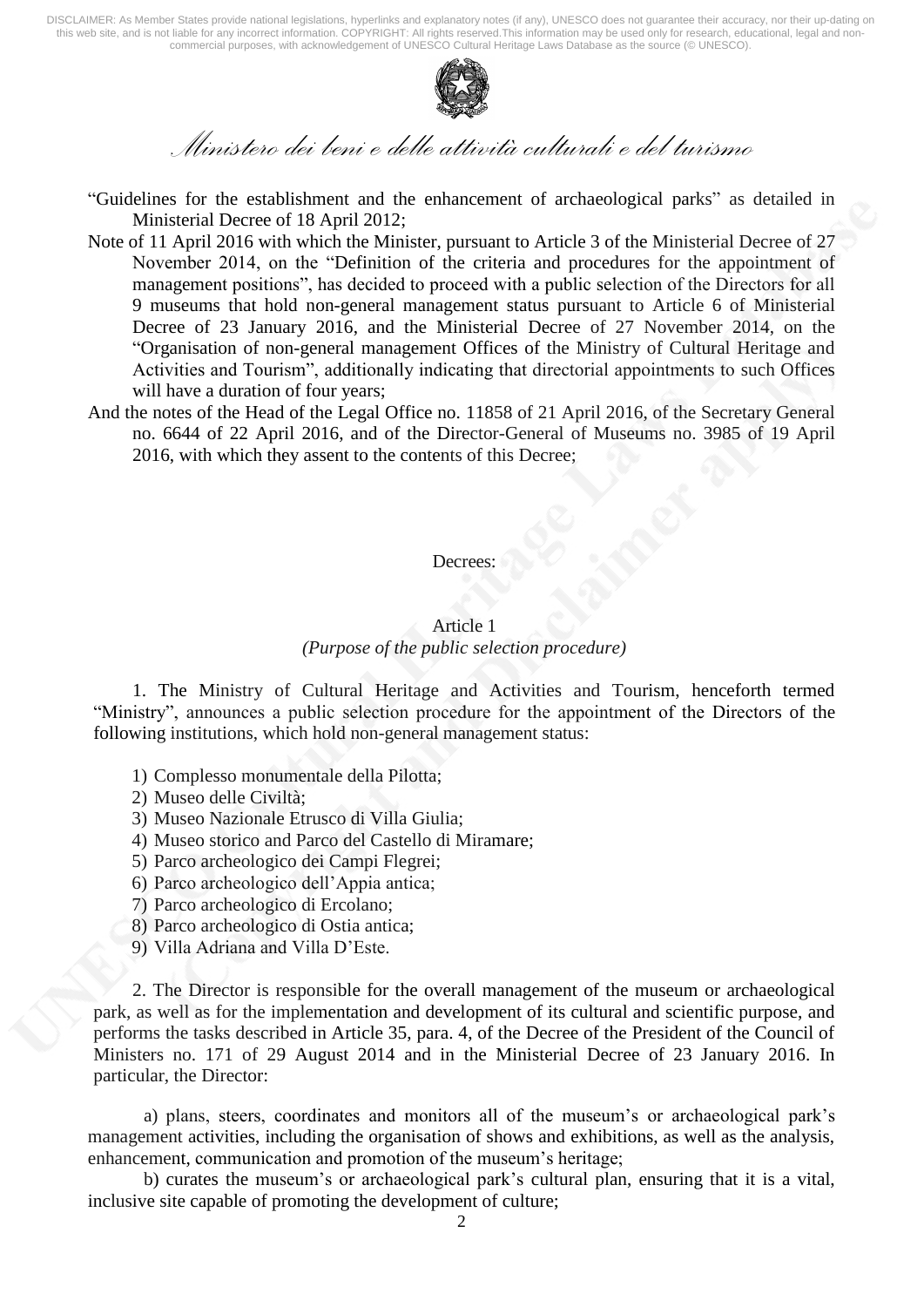

*Ministero dei beni e delle attività culturali e del turismo* 

- "Guidelines for the establishment and the enhancement of archaeological parks" as detailed in Ministerial Decree of 18 April 2012;
- Note of 11 April 2016 with which the Minister, pursuant to Article 3 of the Ministerial Decree of 27 November 2014, on the "Definition of the criteria and procedures for the appointment of management positions", has decided to proceed with a public selection of the Directors for all 9 museums that hold non-general management status pursuant to Article 6 of Ministerial Decree of 23 January 2016, and the Ministerial Decree of 27 November 2014, on the "Organisation of non-general management Offices of the Ministry of Cultural Heritage and Activities and Tourism", additionally indicating that directorial appointments to such Offices will have a duration of four years;
- And the notes of the Head of the Legal Office no. 11858 of 21 April 2016, of the Secretary General no. 6644 of 22 April 2016, and of the Director-General of Museums no. 3985 of 19 April 2016, with which they assent to the contents of this Decree;

#### Decrees:

## Article 1 *(Purpose of the public selection procedure)*

1. The Ministry of Cultural Heritage and Activities and Tourism, henceforth termed "Ministry", announces a public selection procedure for the appointment of the Directors of the following institutions, which hold non-general management status:

- 1) Complesso monumentale della Pilotta;
- 2) Museo delle Civiltà;
- 3) Museo Nazionale Etrusco di Villa Giulia;
- 4) Museo storico and Parco del Castello di Miramare;
- 5) Parco archeologico dei Campi Flegrei;
- 6) Parco archeologico dell'Appia antica;
- 7) Parco archeologico di Ercolano;
- 8) Parco archeologico di Ostia antica;
- 9) Villa Adriana and Villa D'Este.

2. The Director is responsible for the overall management of the museum or archaeological park, as well as for the implementation and development of its cultural and scientific purpose, and performs the tasks described in Article 35, para. 4, of the Decree of the President of the Council of Ministers no. 171 of 29 August 2014 and in the Ministerial Decree of 23 January 2016. In particular, the Director:

a) plans, steers, coordinates and monitors all of the museum's or archaeological park's management activities, including the organisation of shows and exhibitions, as well as the analysis, enhancement, communication and promotion of the museum's heritage;

b) curates the museum's or archaeological park's cultural plan, ensuring that it is a vital, inclusive site capable of promoting the development of culture;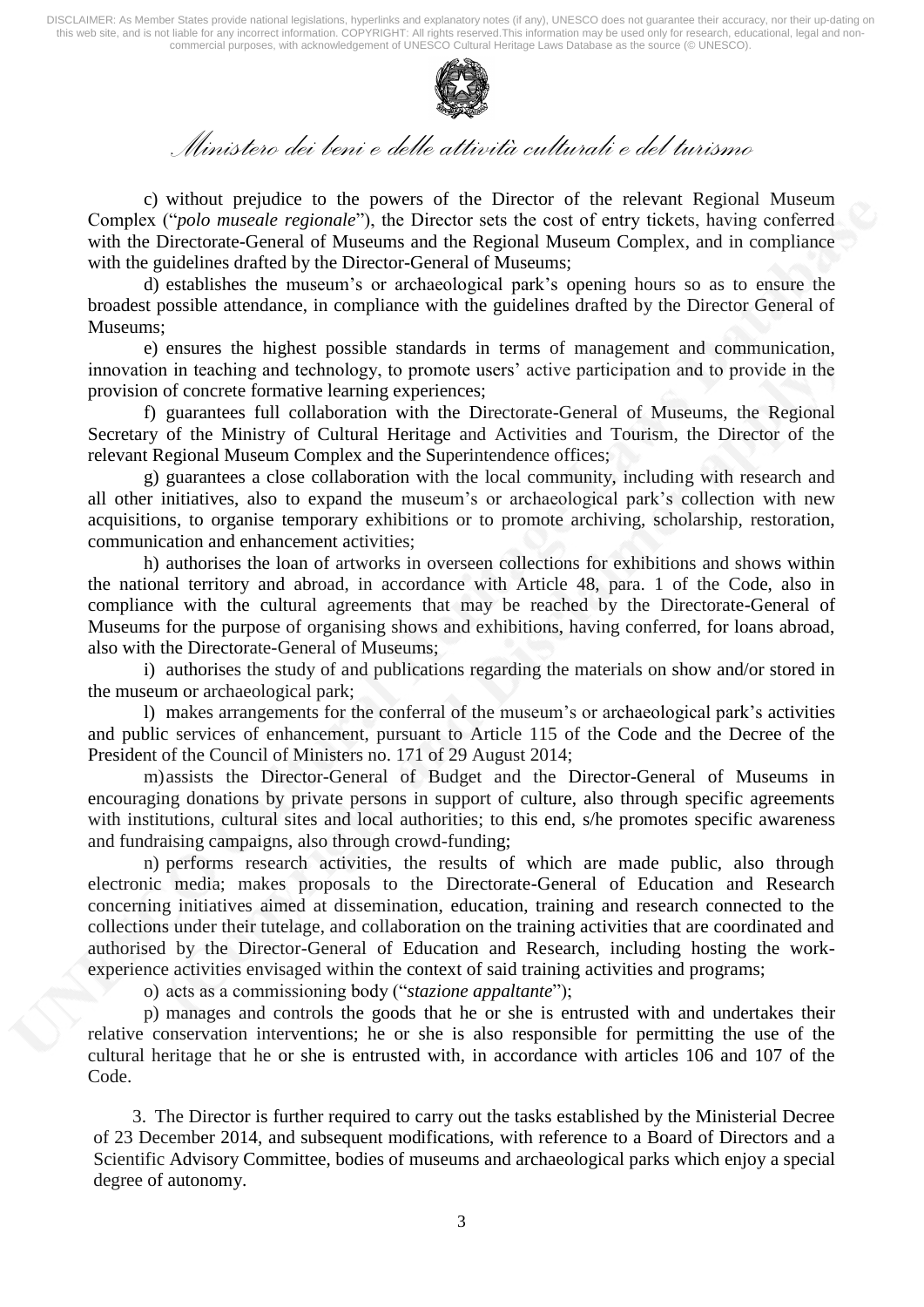

## *Ministero dei beni e delle attività culturali e del turismo*

c) without prejudice to the powers of the Director of the relevant Regional Museum Complex ("*polo museale regionale*"), the Director sets the cost of entry tickets, having conferred with the Directorate-General of Museums and the Regional Museum Complex, and in compliance with the guidelines drafted by the Director-General of Museums;

d) establishes the museum's or archaeological park's opening hours so as to ensure the broadest possible attendance, in compliance with the guidelines drafted by the Director General of Museums;

e) ensures the highest possible standards in terms of management and communication, innovation in teaching and technology, to promote users' active participation and to provide in the provision of concrete formative learning experiences;

f) guarantees full collaboration with the Directorate-General of Museums, the Regional Secretary of the Ministry of Cultural Heritage and Activities and Tourism, the Director of the relevant Regional Museum Complex and the Superintendence offices;

g) guarantees a close collaboration with the local community, including with research and all other initiatives, also to expand the museum's or archaeological park's collection with new acquisitions, to organise temporary exhibitions or to promote archiving, scholarship, restoration, communication and enhancement activities;

h) authorises the loan of artworks in overseen collections for exhibitions and shows within the national territory and abroad, in accordance with Article 48, para. 1 of the Code, also in compliance with the cultural agreements that may be reached by the Directorate-General of Museums for the purpose of organising shows and exhibitions, having conferred, for loans abroad, also with the Directorate-General of Museums;

i) authorises the study of and publications regarding the materials on show and/or stored in the museum or archaeological park;

l) makes arrangements for the conferral of the museum's or archaeological park's activities and public services of enhancement, pursuant to Article 115 of the Code and the Decree of the President of the Council of Ministers no. 171 of 29 August 2014;

m)assists the Director-General of Budget and the Director-General of Museums in encouraging donations by private persons in support of culture, also through specific agreements with institutions, cultural sites and local authorities; to this end, s/he promotes specific awareness and fundraising campaigns, also through crowd-funding;

n) performs research activities, the results of which are made public, also through electronic media; makes proposals to the Directorate-General of Education and Research concerning initiatives aimed at dissemination, education, training and research connected to the collections under their tutelage, and collaboration on the training activities that are coordinated and authorised by the Director-General of Education and Research, including hosting the workexperience activities envisaged within the context of said training activities and programs;

o) acts as a commissioning body ("*stazione appaltante*");

p) manages and controls the goods that he or she is entrusted with and undertakes their relative conservation interventions; he or she is also responsible for permitting the use of the cultural heritage that he or she is entrusted with, in accordance with articles 106 and 107 of the Code.

3. The Director is further required to carry out the tasks established by the Ministerial Decree of 23 December 2014, and subsequent modifications, with reference to a Board of Directors and a Scientific Advisory Committee, bodies of museums and archaeological parks which enjoy a special degree of autonomy.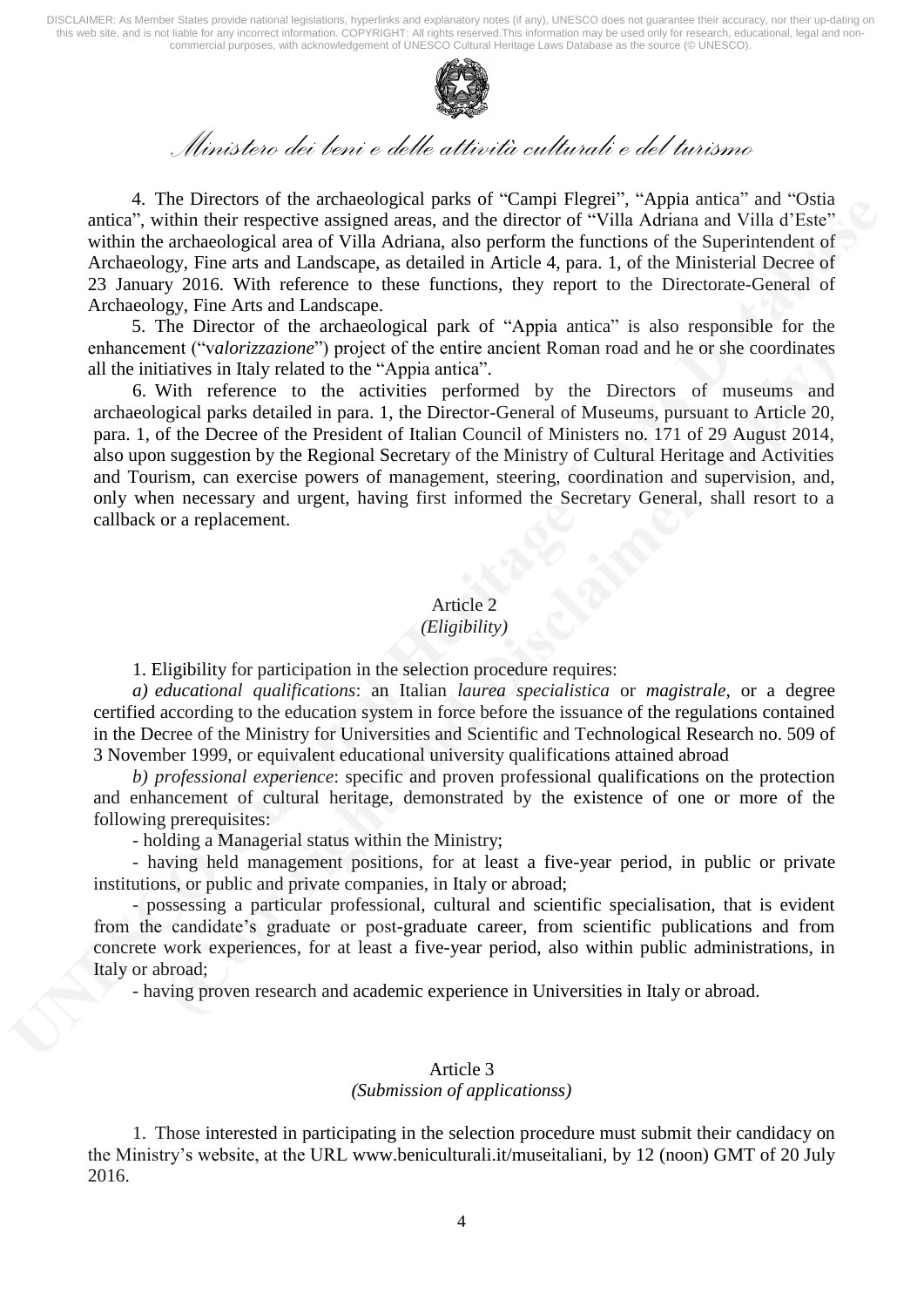

# *Ministero dei beni e delle attività culturali e del turismo*

4. The Directors of the archaeological parks of "Campi Flegrei", "Appia antica" and "Ostia antica", within their respective assigned areas, and the director of "Villa Adriana and Villa d'Este" within the archaeological area of Villa Adriana, also perform the functions of the Superintendent of Archaeology, Fine arts and Landscape, as detailed in Article 4, para. 1, of the Ministerial Decree of 23 January 2016. With reference to these functions, they report to the Directorate-General of Archaeology, Fine Arts and Landscape.

5. The Director of the archaeological park of "Appia antica" is also responsible for the enhancement ("v*alorizzazione*") project of the entire ancient Roman road and he or she coordinates all the initiatives in Italy related to the "Appia antica".

6. With reference to the activities performed by the Directors of museums and archaeological parks detailed in para. 1, the Director-General of Museums, pursuant to Article 20, para. 1, of the Decree of the President of Italian Council of Ministers no. 171 of 29 August 2014, also upon suggestion by the Regional Secretary of the Ministry of Cultural Heritage and Activities and Tourism, can exercise powers of management, steering, coordination and supervision, and, only when necessary and urgent, having first informed the Secretary General, shall resort to a callback or a replacement.

## Article 2

### *(Eligibility)*

1. Eligibility for participation in the selection procedure requires:

*a) educational qualifications*: an Italian *laurea specialistica* or *magistrale*, or a degree certified according to the education system in force before the issuance of the regulations contained in the Decree of the Ministry for Universities and Scientific and Technological Research no. 509 of 3 November 1999, or equivalent educational university qualifications attained abroad

*b) professional experience*: specific and proven professional qualifications on the protection and enhancement of cultural heritage, demonstrated by the existence of one or more of the following prerequisites:

- holding a Managerial status within the Ministry;

- having held management positions, for at least a five-year period, in public or private institutions, or public and private companies, in Italy or abroad;

- possessing a particular professional, cultural and scientific specialisation, that is evident from the candidate's graduate or post-graduate career, from scientific publications and from concrete work experiences, for at least a five-year period, also within public administrations, in Italy or abroad;

- having proven research and academic experience in Universities in Italy or abroad.

## Article 3

#### *(Submission of applicationss)*

1. Those interested in participating in the selection procedure must submit their candidacy on the Ministry's website, at the URL [www.beniculturali.it/museitaliani,](http://www.beniculturali.it/museitaliani,) by 12 (noon) GMT of 20 July 2016.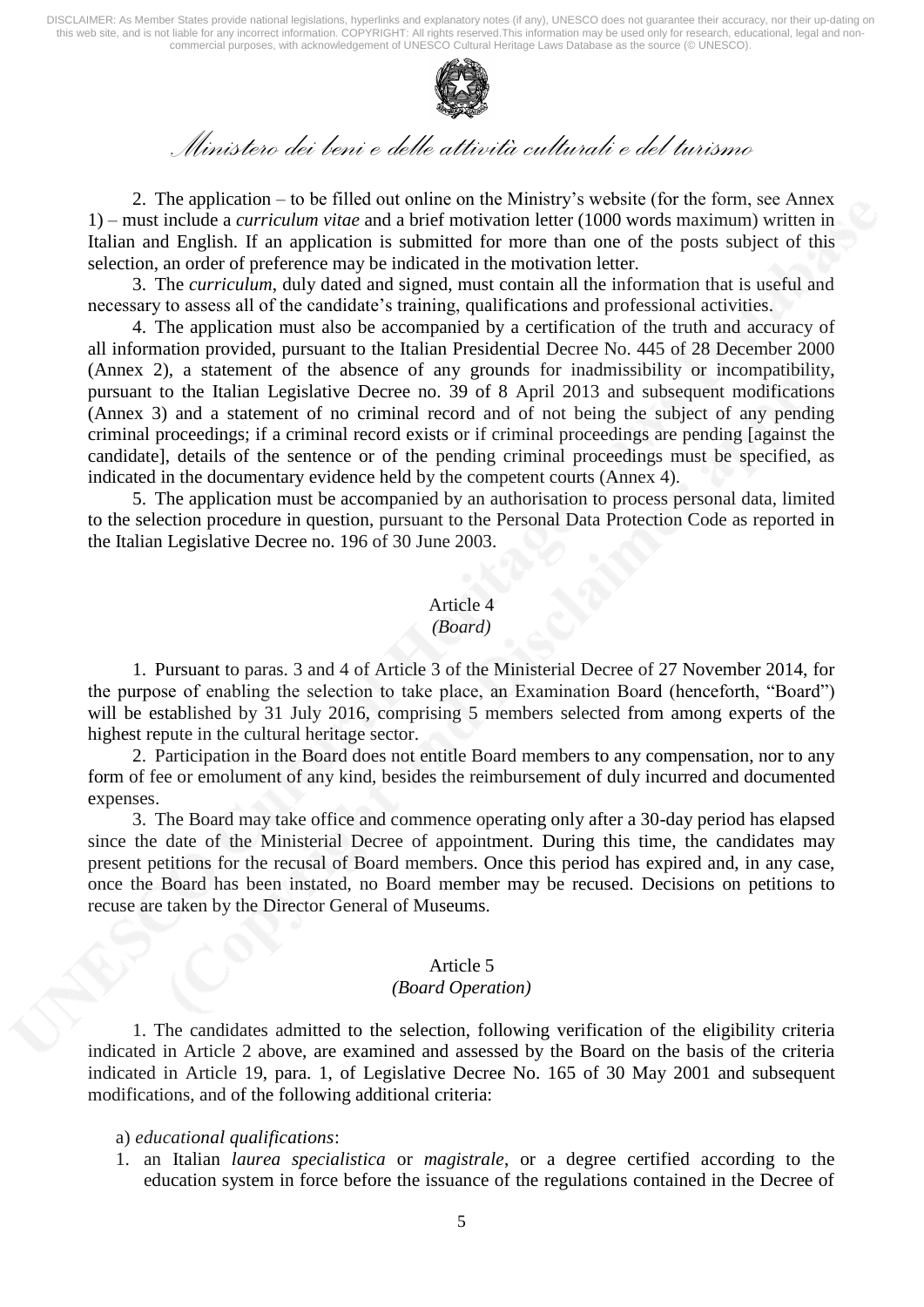

## *Ministero dei beni e delle attività culturali e del turismo*

2. The application – to be filled out online on the Ministry's website (for the form, see Annex 1) – must include a *curriculum vitae* and a brief motivation letter (1000 words maximum) written in Italian and English. If an application is submitted for more than one of the posts subject of this selection, an order of preference may be indicated in the motivation letter.

3. The *curriculum*, duly dated and signed, must contain all the information that is useful and necessary to assess all of the candidate's training, qualifications and professional activities.

4. The application must also be accompanied by a certification of the truth and accuracy of all information provided, pursuant to the Italian Presidential Decree No. 445 of 28 December 2000 (Annex 2), a statement of the absence of any grounds for inadmissibility or incompatibility, pursuant to the Italian Legislative Decree no. 39 of 8 April 2013 and subsequent modifications (Annex 3) and a statement of no criminal record and of not being the subject of any pending criminal proceedings; if a criminal record exists or if criminal proceedings are pending [against the candidate], details of the sentence or of the pending criminal proceedings must be specified, as indicated in the documentary evidence held by the competent courts (Annex 4).

5. The application must be accompanied by an authorisation to process personal data, limited to the selection procedure in question, pursuant to the Personal Data Protection Code as reported in the Italian Legislative Decree no. 196 of 30 June 2003.

#### Article 4

#### *(Board)*

1. Pursuant to paras. 3 and 4 of Article 3 of the Ministerial Decree of 27 November 2014, for the purpose of enabling the selection to take place, an Examination Board (henceforth, "Board") will be established by 31 July 2016, comprising 5 members selected from among experts of the highest repute in the cultural heritage sector.

2. Participation in the Board does not entitle Board members to any compensation, nor to any form of fee or emolument of any kind, besides the reimbursement of duly incurred and documented expenses.

3. The Board may take office and commence operating only after a 30-day period has elapsed since the date of the Ministerial Decree of appointment. During this time, the candidates may present petitions for the recusal of Board members. Once this period has expired and, in any case, once the Board has been instated, no Board member may be recused. Decisions on petitions to recuse are taken by the Director General of Museums.

#### Article 5

#### *(Board Operation)*

1. The candidates admitted to the selection, following verification of the eligibility criteria indicated in Article 2 above, are examined and assessed by the Board on the basis of the criteria indicated in Article 19, para. 1, of Legislative Decree No. 165 of 30 May 2001 and subsequent modifications, and of the following additional criteria:

#### a) *educational qualifications*:

1. an Italian *laurea specialistica* or *magistrale*, or a degree certified according to the education system in force before the issuance of the regulations contained in the Decree of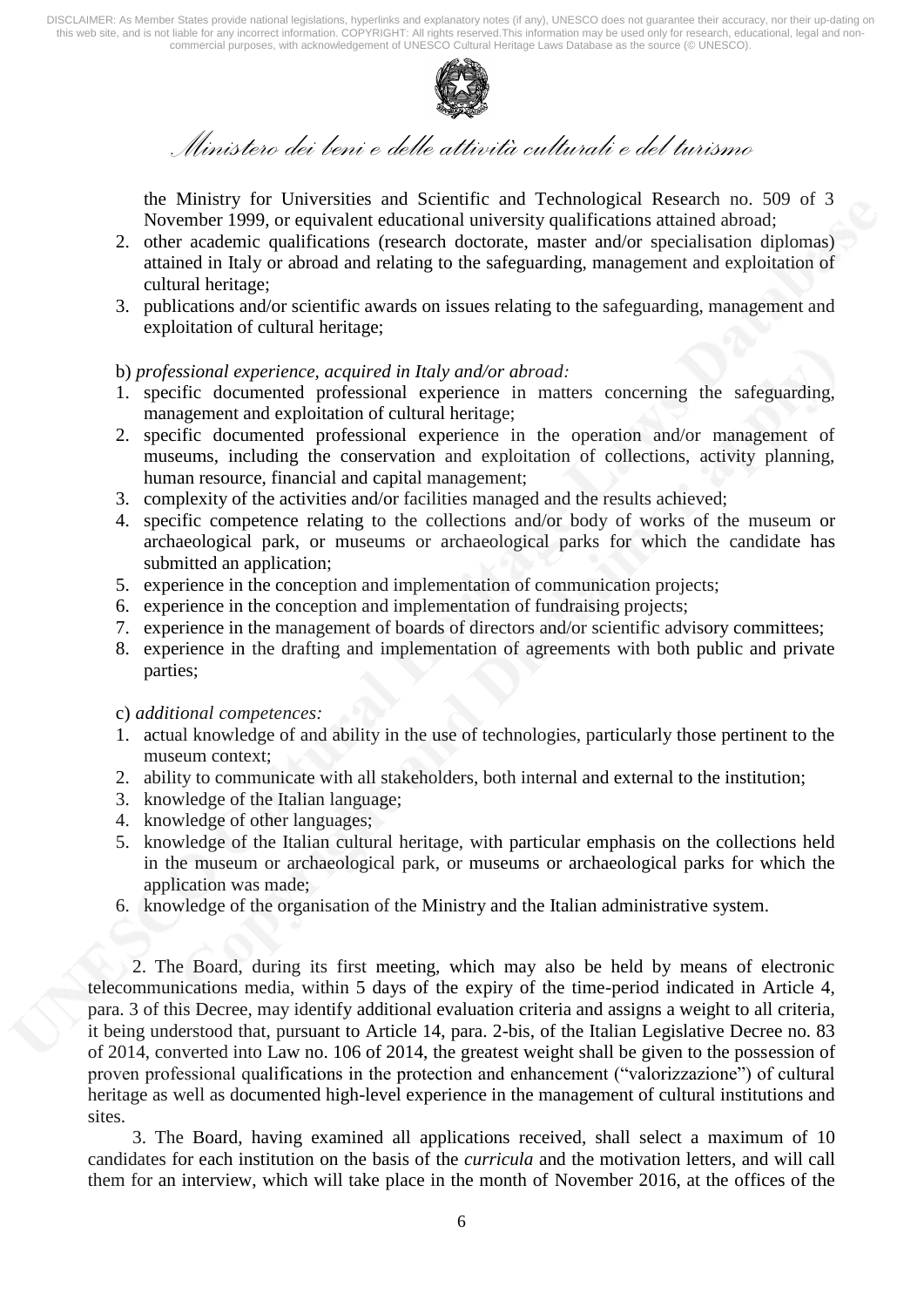

*Ministero dei beni e delle attività culturali e del turismo* 

the Ministry for Universities and Scientific and Technological Research no. 509 of 3 November 1999, or equivalent educational university qualifications attained abroad;

- 2. other academic qualifications (research doctorate, master and/or specialisation diplomas) attained in Italy or abroad and relating to the safeguarding, management and exploitation of cultural heritage;
- 3. publications and/or scientific awards on issues relating to the safeguarding, management and exploitation of cultural heritage;

#### b) *professional experience, acquired in Italy and/or abroad:*

- 1. specific documented professional experience in matters concerning the safeguarding, management and exploitation of cultural heritage;
- 2. specific documented professional experience in the operation and/or management of museums, including the conservation and exploitation of collections, activity planning, human resource, financial and capital management;
- 3. complexity of the activities and/or facilities managed and the results achieved;
- 4. specific competence relating to the collections and/or body of works of the museum or archaeological park, or museums or archaeological parks for which the candidate has submitted an application;
- 5. experience in the conception and implementation of communication projects;
- 6. experience in the conception and implementation of fundraising projects;
- 7. experience in the management of boards of directors and/or scientific advisory committees;
- 8. experience in the drafting and implementation of agreements with both public and private parties;

#### c) *additional competences:*

- 1. actual knowledge of and ability in the use of technologies, particularly those pertinent to the museum context;
- 2. ability to communicate with all stakeholders, both internal and external to the institution;
- 3. knowledge of the Italian language;
- 4. knowledge of other languages;
- 5. knowledge of the Italian cultural heritage, with particular emphasis on the collections held in the museum or archaeological park, or museums or archaeological parks for which the application was made;
- 6. knowledge of the organisation of the Ministry and the Italian administrative system.

2. The Board, during its first meeting, which may also be held by means of electronic telecommunications media, within 5 days of the expiry of the time-period indicated in Article 4, para. 3 of this Decree, may identify additional evaluation criteria and assigns a weight to all criteria, it being understood that, pursuant to Article 14, para. 2-bis, of the Italian Legislative Decree no. 83 of 2014, converted into Law no. 106 of 2014, the greatest weight shall be given to the possession of proven professional qualifications in the protection and enhancement ("valorizzazione") of cultural heritage as well as documented high-level experience in the management of cultural institutions and sites.

3. The Board, having examined all applications received, shall select a maximum of 10 candidates for each institution on the basis of the *curricula* and the motivation letters, and will call them for an interview, which will take place in the month of November 2016, at the offices of the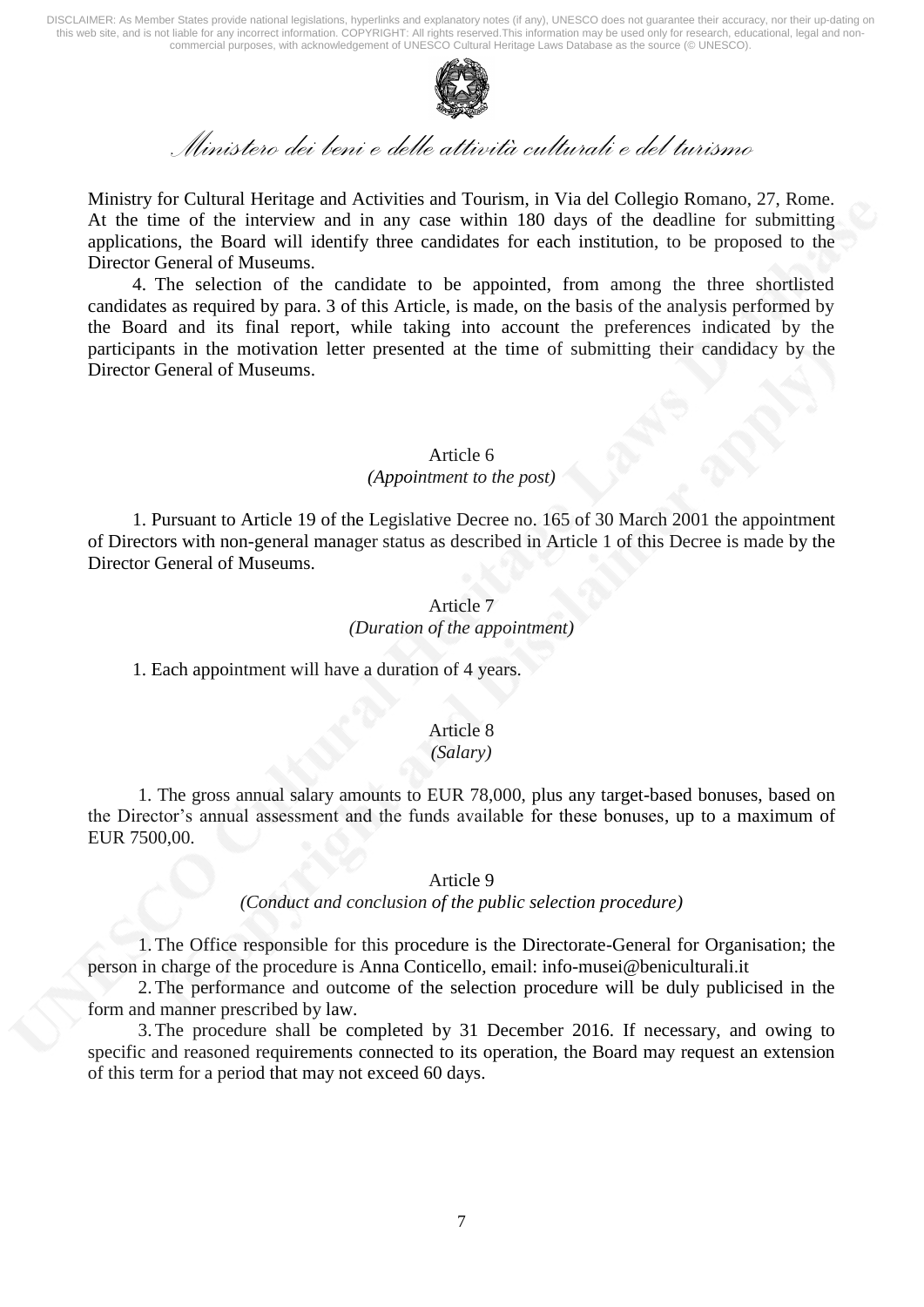

## *Ministero dei beni e delle attività culturali e del turismo*

Ministry for Cultural Heritage and Activities and Tourism, in Via del Collegio Romano, 27, Rome. At the time of the interview and in any case within 180 days of the deadline for submitting applications, the Board will identify three candidates for each institution, to be proposed to the Director General of Museums.

4. The selection of the candidate to be appointed, from among the three shortlisted candidates as required by para. 3 of this Article, is made, on the basis of the analysis performed by the Board and its final report, while taking into account the preferences indicated by the participants in the motivation letter presented at the time of submitting their candidacy by the Director General of Museums.

## Article 6

## *(Appointment to the post)*

1. Pursuant to Article 19 of the Legislative Decree no. 165 of 30 March 2001 the appointment of Directors with non-general manager status as described in Article 1 of this Decree is made by the Director General of Museums.

## Article 7 *(Duration of the appointment)*

1. Each appointment will have a duration of 4 years.

## Article 8

### *(Salary)*

1. The gross annual salary amounts to EUR 78,000, plus any target-based bonuses, based on the Director's annual assessment and the funds available for these bonuses, up to a maximum of EUR 7500,00.

## Article 9

### *(Conduct and conclusion of the public selection procedure)*

1.The Office responsible for this procedure is the Directorate-General for Organisation; the person in charge of the procedure is Anna Conticello, [email: info-musei@beniculturali.it](mailto:info-musei@beniculturali.it)

2.The performance and outcome of the selection procedure will be duly publicised in the form and manner prescribed by law.

3.The procedure shall be completed by 31 December 2016. If necessary, and owing to specific and reasoned requirements connected to its operation, the Board may request an extension of this term for a period that may not exceed 60 days.